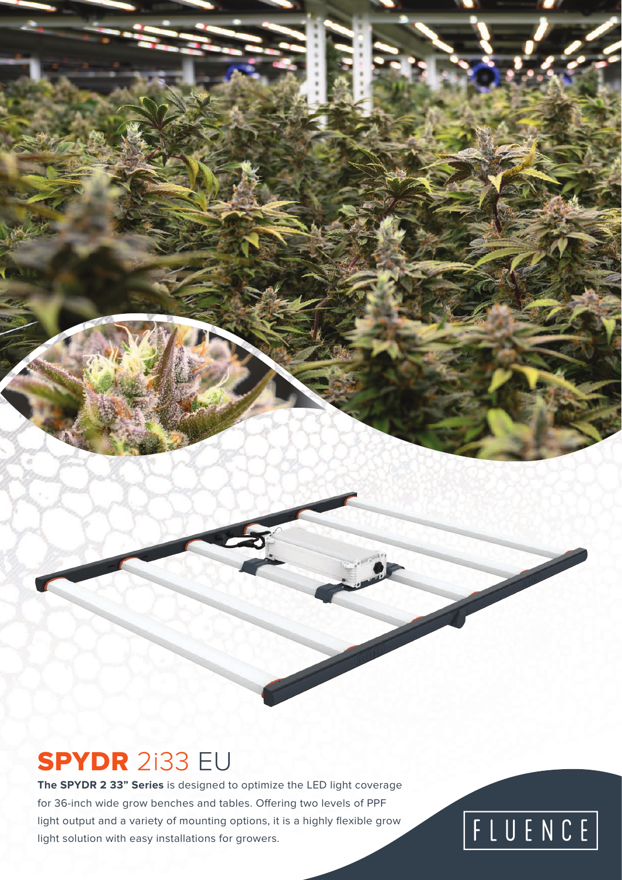#### SPYDR 2i33 EU

**The SPYDR 2 33" Series** is designed to optimize the LED light coverage for 36-inch wide grow benches and tables. Offering two levels of PPF light output and a variety of mounting options, it is a highly flexible grow light solution with easy installations for growers.

# FLUENCE